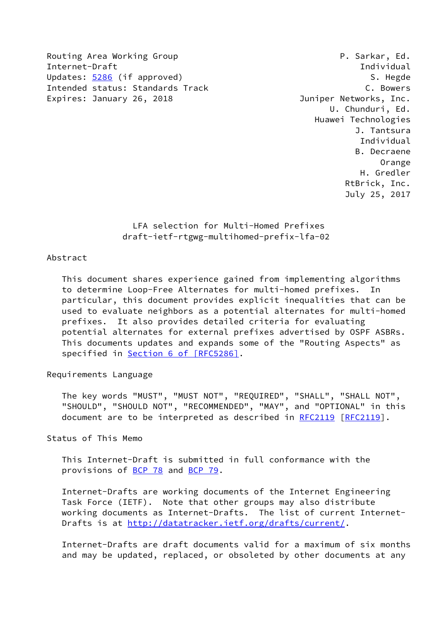Routing Area Working Group **P. Sarkar, Ed.** Internet-Draft Individual Updates: [5286](https://datatracker.ietf.org/doc/pdf/rfc5286) (if approved) S. Hegde Intended status: Standards Track C. Bowers Expires: January 26, 2018 **Juniper Networks, Inc.** 

 U. Chunduri, Ed. Huawei Technologies J. Tantsura Individual B. Decraene Orange H. Gredler RtBrick, Inc. July 25, 2017

> LFA selection for Multi-Homed Prefixes draft-ietf-rtgwg-multihomed-prefix-lfa-02

#### Abstract

 This document shares experience gained from implementing algorithms to determine Loop-Free Alternates for multi-homed prefixes. In particular, this document provides explicit inequalities that can be used to evaluate neighbors as a potential alternates for multi-homed prefixes. It also provides detailed criteria for evaluating potential alternates for external prefixes advertised by OSPF ASBRs. This documents updates and expands some of the "Routing Aspects" as specified in Section [6 of \[RFC5286\]](https://datatracker.ietf.org/doc/pdf/rfc5286#section-6).

#### Requirements Language

 The key words "MUST", "MUST NOT", "REQUIRED", "SHALL", "SHALL NOT", "SHOULD", "SHOULD NOT", "RECOMMENDED", "MAY", and "OPTIONAL" in this document are to be interpreted as described in [RFC2119](https://datatracker.ietf.org/doc/pdf/rfc2119) [\[RFC2119](https://datatracker.ietf.org/doc/pdf/rfc2119)].

Status of This Memo

 This Internet-Draft is submitted in full conformance with the provisions of [BCP 78](https://datatracker.ietf.org/doc/pdf/bcp78) and [BCP 79](https://datatracker.ietf.org/doc/pdf/bcp79).

 Internet-Drafts are working documents of the Internet Engineering Task Force (IETF). Note that other groups may also distribute working documents as Internet-Drafts. The list of current Internet- Drafts is at<http://datatracker.ietf.org/drafts/current/>.

 Internet-Drafts are draft documents valid for a maximum of six months and may be updated, replaced, or obsoleted by other documents at any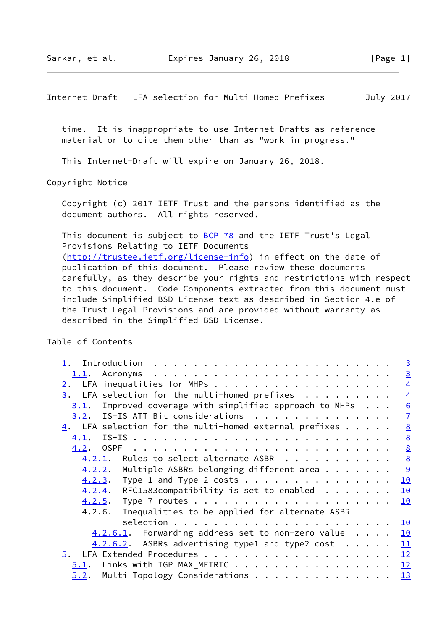Internet-Draft LFA selection for Multi-Homed Prefixes July 2017

 time. It is inappropriate to use Internet-Drafts as reference material or to cite them other than as "work in progress."

This Internet-Draft will expire on January 26, 2018.

Copyright Notice

 Copyright (c) 2017 IETF Trust and the persons identified as the document authors. All rights reserved.

This document is subject to **[BCP 78](https://datatracker.ietf.org/doc/pdf/bcp78)** and the IETF Trust's Legal Provisions Relating to IETF Documents [\(http://trustee.ietf.org/license-info](http://trustee.ietf.org/license-info)) in effect on the date of publication of this document. Please review these documents carefully, as they describe your rights and restrictions with respect to this document. Code Components extracted from this document must include Simplified BSD License text as described in Section 4.e of the Trust Legal Provisions and are provided without warranty as described in the Simplified BSD License.

Table of Contents

|                                                                 |  | $\overline{3}$  |
|-----------------------------------------------------------------|--|-----------------|
|                                                                 |  | $\overline{3}$  |
| LFA inequalities for MHPs<br>2.                                 |  | $\overline{4}$  |
| LFA selection for the multi-homed prefixes $\dots$<br>3.        |  | $\overline{4}$  |
| Improved coverage with simplified approach to MHPs<br>3.1.      |  | $\underline{6}$ |
| $3.2.$ IS-IS ATT Bit considerations                             |  | $\overline{1}$  |
| 4. LFA selection for the multi-homed external prefixes $\ldots$ |  | $\underline{8}$ |
| 4.1.                                                            |  | $\frac{8}{2}$   |
| 4.2.                                                            |  | $\underline{8}$ |
| $4.2.1$ . Rules to select alternate ASBR                        |  | $\underline{8}$ |
| Multiple ASBRs belonging different area $\dots \dots$<br>4.2.2. |  | $\overline{9}$  |
| $4.2.3$ . Type 1 and Type 2 costs                               |  | 10              |
| $4.2.4$ . RFC1583compatibility is set to enabled                |  | 10              |
|                                                                 |  | 10              |
| 4.2.6. Inequalities to be applied for alternate ASBR            |  |                 |
|                                                                 |  | <u>10</u>       |
| $4.2.6.1$ . Forwarding address set to non-zero value            |  | 10              |
| $4.2.6.2$ . ASBRs advertising type1 and type2 cost              |  | 11              |
| 5.                                                              |  | 12              |
| Links with IGP MAX_METRIC<br><u>5.1</u> .                       |  | 12              |
| Multi Topology Considerations 13<br>5.2.                        |  |                 |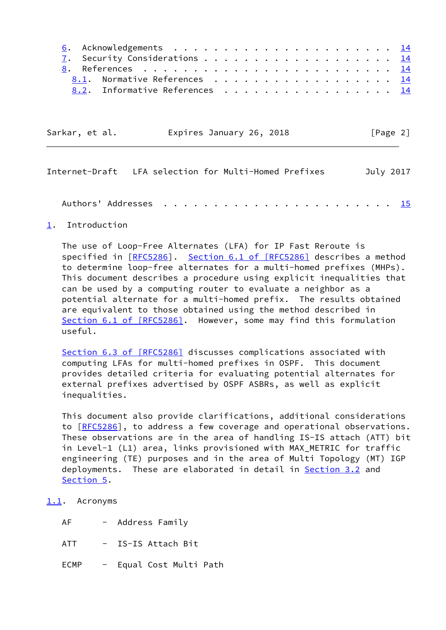|  | 8.1. Normative References 14   |  |  |  |  |  |  |  |  |  |  |  |  |
|--|--------------------------------|--|--|--|--|--|--|--|--|--|--|--|--|
|  | 8.2. Informative References 14 |  |  |  |  |  |  |  |  |  |  |  |  |

| Sarkar, et al. | Expires January 26, 2018 | [Page 2] |
|----------------|--------------------------|----------|
|----------------|--------------------------|----------|

<span id="page-2-1"></span>

| Internet-Draft LFA selection for Multi-Homed Prefixes |  |  | July 2017 |
|-------------------------------------------------------|--|--|-----------|
|                                                       |  |  |           |
|                                                       |  |  |           |

### <span id="page-2-0"></span>[1](#page-2-0). Introduction

 The use of Loop-Free Alternates (LFA) for IP Fast Reroute is specified in [\[RFC5286](https://datatracker.ietf.org/doc/pdf/rfc5286)]. Section [6.1 of \[RFC5286\]](https://datatracker.ietf.org/doc/pdf/rfc5286#section-6.1) describes a method to determine loop-free alternates for a multi-homed prefixes (MHPs). This document describes a procedure using explicit inequalities that can be used by a computing router to evaluate a neighbor as a potential alternate for a multi-homed prefix. The results obtained are equivalent to those obtained using the method described in Section [6.1 of \[RFC5286\]](https://datatracker.ietf.org/doc/pdf/rfc5286#section-6.1). However, some may find this formulation useful.

Section [6.3 of \[RFC5286\]](https://datatracker.ietf.org/doc/pdf/rfc5286#section-6.3) discusses complications associated with computing LFAs for multi-homed prefixes in OSPF. This document provides detailed criteria for evaluating potential alternates for external prefixes advertised by OSPF ASBRs, as well as explicit inequalities.

 This document also provide clarifications, additional considerations to [[RFC5286\]](https://datatracker.ietf.org/doc/pdf/rfc5286), to address a few coverage and operational observations. These observations are in the area of handling IS-IS attach (ATT) bit in Level-1 (L1) area, links provisioned with MAX\_METRIC for traffic engineering (TE) purposes and in the area of Multi Topology (MT) IGP deployments. These are elaborated in detail in **Section 3.2** and [Section 5](#page-13-0).

### <span id="page-2-2"></span>[1.1](#page-2-2). Acronyms

- AF Address Family
- ATT IS-IS Attach Bit
- ECMP Equal Cost Multi Path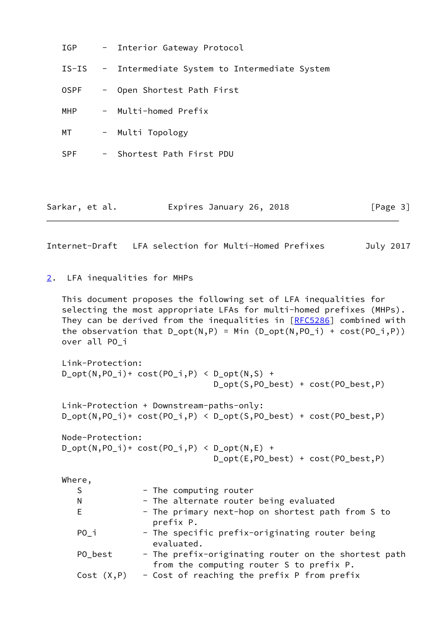| IGP            | - Interior Gateway Protocol                        |  |
|----------------|----------------------------------------------------|--|
|                | IS-IS - Intermediate System to Intermediate System |  |
| 0SPF           | - Open Shortest Path First                         |  |
| <b>MHP</b>     | - Multi-homed Prefix                               |  |
| MT             | - Multi Topology                                   |  |
| <b>SPF</b>     | - Shortest Path First PDU                          |  |
|                |                                                    |  |
|                |                                                    |  |
| Sarkar, et al. | Expires January 26, 2018<br>[Page 3]               |  |

<span id="page-3-1"></span>Internet-Draft LFA selection for Multi-Homed Prefixes July 2017

<span id="page-3-0"></span>[2](#page-3-0). LFA inequalities for MHPs

 This document proposes the following set of LFA inequalities for selecting the most appropriate LFAs for multi-homed prefixes (MHPs). They can be derived from the inequalities in [\[RFC5286](https://datatracker.ietf.org/doc/pdf/rfc5286)] combined with the observation that  $D_{opt}(N,P) = Min (D_{opt}(N,PO_i) + cost(PO_i,P))$ over all PO\_i

```
 Link-Protection:
D_{opt}(N, PO_{i})+ cost(PO_{i},P) < D_{opt}(N,S) +
                                  D_opt(S,PO_best) + cost(PO_best,P)
 Link-Protection + Downstream-paths-only:
```
D\_opt(N,PO\_i)+ cost(PO\_i,P) < D\_opt(S,PO\_best) + cost(PO\_best,P)

 Node-Protection:  $D_{opt}(N, PO_i)$  + cost( $PO_i, P$ ) <  $D_{opt}(N, E)$  + D\_opt(E,PO\_best) + cost(PO\_best,P)

Where,

| S          | - The computing router                                                                           |
|------------|--------------------------------------------------------------------------------------------------|
| N          | - The alternate router being evaluated                                                           |
| E          | - The primary next-hop on shortest path from S to<br>prefix P.                                   |
| PO i       | - The specific prefix-originating router being<br>evaluated.                                     |
| PO best    | - The prefix-originating router on the shortest path<br>from the computing router S to prefix P. |
| Cost(X, P) | - Cost of reaching the prefix P from prefix                                                      |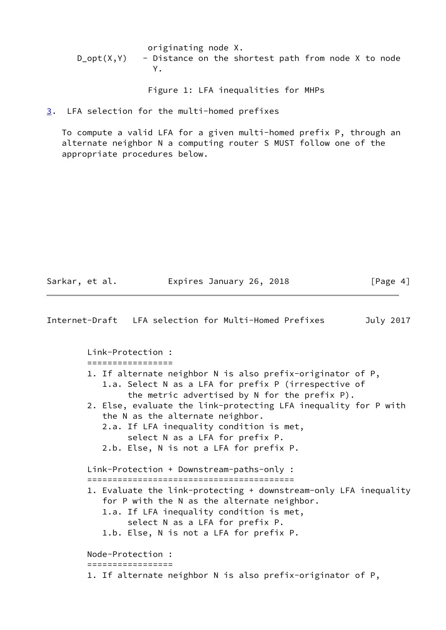originating node X.  $D_{opt}(X,Y)$  - Distance on the shortest path from node X to node Y.

Figure 1: LFA inequalities for MHPs

<span id="page-4-0"></span>[3](#page-4-0). LFA selection for the multi-homed prefixes

 To compute a valid LFA for a given multi-homed prefix P, through an alternate neighbor N a computing router S MUST follow one of the appropriate procedures below.

Sarkar, et al. **Expires January 26, 2018** [Page 4]

Internet-Draft LFA selection for Multi-Homed Prefixes July 2017 Link-Protection : ================= 1. If alternate neighbor N is also prefix-originator of P, 1.a. Select N as a LFA for prefix P (irrespective of the metric advertised by N for the prefix P). 2. Else, evaluate the link-protecting LFA inequality for P with the N as the alternate neighbor. 2.a. If LFA inequality condition is met, select N as a LFA for prefix P. 2.b. Else, N is not a LFA for prefix P. Link-Protection + Downstream-paths-only : ========================================= 1. Evaluate the link-protecting + downstream-only LFA inequality for P with the N as the alternate neighbor. 1.a. If LFA inequality condition is met, select N as a LFA for prefix P. 1.b. Else, N is not a LFA for prefix P. Node-Protection : ================= 1. If alternate neighbor N is also prefix-originator of P,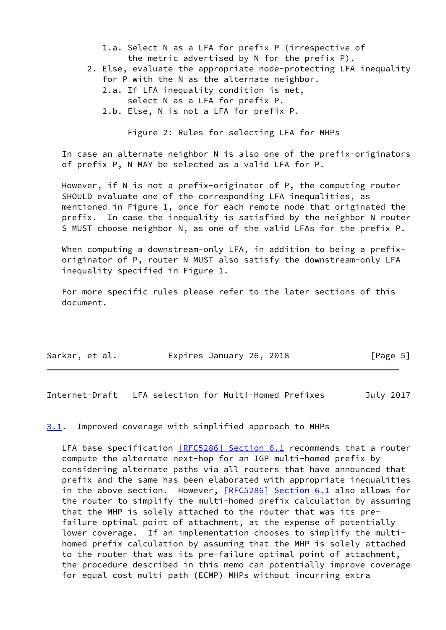1.a. Select N as a LFA for prefix P (irrespective of the metric advertised by N for the prefix P).

- 2. Else, evaluate the appropriate node-protecting LFA inequality for P with the N as the alternate neighbor.
	- 2.a. If LFA inequality condition is met,
	- select N as a LFA for prefix P.
	- 2.b. Else, N is not a LFA for prefix P.

Figure 2: Rules for selecting LFA for MHPs

 In case an alternate neighbor N is also one of the prefix-originators of prefix P, N MAY be selected as a valid LFA for P.

 However, if N is not a prefix-originator of P, the computing router SHOULD evaluate one of the corresponding LFA inequalities, as mentioned in Figure 1, once for each remote node that originated the prefix. In case the inequality is satisfied by the neighbor N router S MUST choose neighbor N, as one of the valid LFAs for the prefix P.

When computing a downstream-only LFA, in addition to being a prefix originator of P, router N MUST also satisfy the downstream-only LFA inequality specified in Figure 1.

 For more specific rules please refer to the later sections of this document.

| Sarkar, et al. | Expires January 26, 2018 | [Page 5] |
|----------------|--------------------------|----------|
|                |                          |          |

<span id="page-5-1"></span>Internet-Draft LFA selection for Multi-Homed Prefixes July 2017

<span id="page-5-0"></span>[3.1](#page-5-0). Improved coverage with simplified approach to MHPs

LFA base specification [\[RFC5286\] Section](https://datatracker.ietf.org/doc/pdf/rfc5286#section-6.1) 6.1 recommends that a router compute the alternate next-hop for an IGP multi-homed prefix by considering alternate paths via all routers that have announced that prefix and the same has been elaborated with appropriate inequalities in the above section. However, [\[RFC5286\] Section](https://datatracker.ietf.org/doc/pdf/rfc5286#section-6.1) 6.1 also allows for the router to simplify the multi-homed prefix calculation by assuming that the MHP is solely attached to the router that was its pre failure optimal point of attachment, at the expense of potentially lower coverage. If an implementation chooses to simplify the multi homed prefix calculation by assuming that the MHP is solely attached to the router that was its pre-failure optimal point of attachment, the procedure described in this memo can potentially improve coverage for equal cost multi path (ECMP) MHPs without incurring extra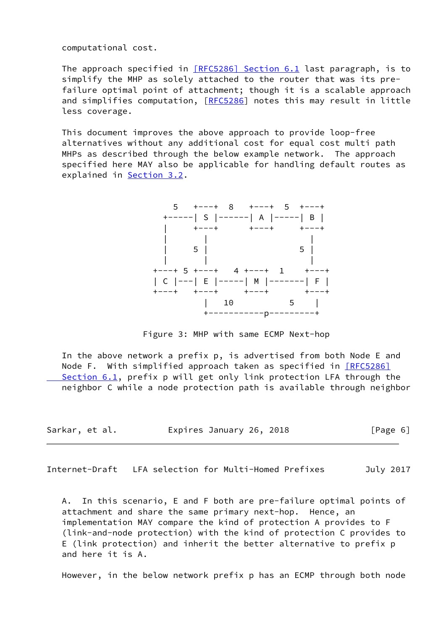computational cost.

 The approach specified in [\[RFC5286\] Section](https://datatracker.ietf.org/doc/pdf/rfc5286#section-6.1) 6.1 last paragraph, is to simplify the MHP as solely attached to the router that was its pre failure optimal point of attachment; though it is a scalable approach and simplifies computation, [\[RFC5286](https://datatracker.ietf.org/doc/pdf/rfc5286)] notes this may result in little less coverage.

 This document improves the above approach to provide loop-free alternatives without any additional cost for equal cost multi path MHPs as described through the below example network. The approach specified here MAY also be applicable for handling default routes as explained in **Section 3.2.** 



Figure 3: MHP with same ECMP Next-hop

 In the above network a prefix p, is advertised from both Node E and Node F. With simplified approach taken as specified in [\[RFC5286\]](https://datatracker.ietf.org/doc/pdf/rfc5286#section-6.1) Section 6.1, prefix p will get only link protection LFA through the neighbor C while a node protection path is available through neighbor

| Sarkar, et al. | Expires January 26, 2018 | [Page 6] |
|----------------|--------------------------|----------|
|----------------|--------------------------|----------|

<span id="page-6-0"></span>Internet-Draft LFA selection for Multi-Homed Prefixes July 2017

 A. In this scenario, E and F both are pre-failure optimal points of attachment and share the same primary next-hop. Hence, an implementation MAY compare the kind of protection A provides to F (link-and-node protection) with the kind of protection C provides to E (link protection) and inherit the better alternative to prefix p and here it is A.

However, in the below network prefix p has an ECMP through both node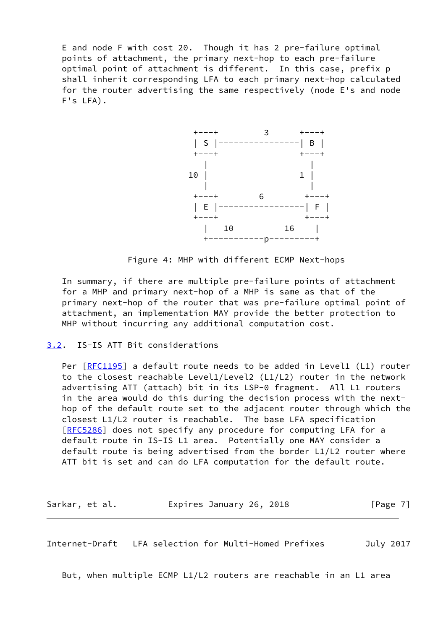E and node F with cost 20. Though it has 2 pre-failure optimal points of attachment, the primary next-hop to each pre-failure optimal point of attachment is different. In this case, prefix p shall inherit corresponding LFA to each primary next-hop calculated for the router advertising the same respectively (node E's and node F's LFA).



Figure 4: MHP with different ECMP Next-hops

 In summary, if there are multiple pre-failure points of attachment for a MHP and primary next-hop of a MHP is same as that of the primary next-hop of the router that was pre-failure optimal point of attachment, an implementation MAY provide the better protection to MHP without incurring any additional computation cost.

### <span id="page-7-0"></span>[3.2](#page-7-0). IS-IS ATT Bit considerations

Per [\[RFC1195](https://datatracker.ietf.org/doc/pdf/rfc1195)] a default route needs to be added in Level1 (L1) router to the closest reachable Level1/Level2 (L1/L2) router in the network advertising ATT (attach) bit in its LSP-0 fragment. All L1 routers in the area would do this during the decision process with the next hop of the default route set to the adjacent router through which the closest L1/L2 router is reachable. The base LFA specification [\[RFC5286](https://datatracker.ietf.org/doc/pdf/rfc5286)] does not specify any procedure for computing LFA for a default route in IS-IS L1 area. Potentially one MAY consider a default route is being advertised from the border L1/L2 router where ATT bit is set and can do LFA computation for the default route.

Sarkar, et al. **Expires January 26, 2018** [Page 7]

<span id="page-7-1"></span>Internet-Draft LFA selection for Multi-Homed Prefixes July 2017

But, when multiple ECMP L1/L2 routers are reachable in an L1 area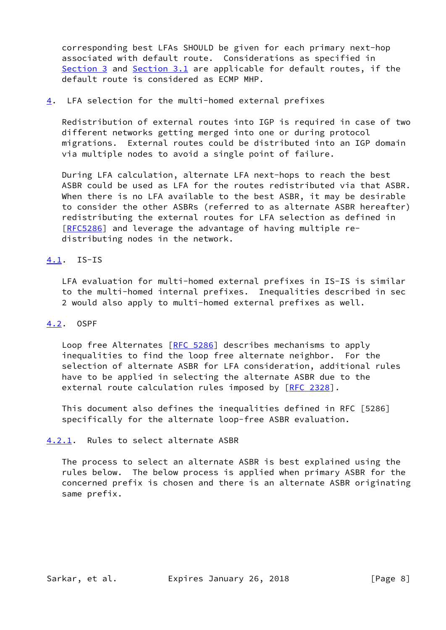corresponding best LFAs SHOULD be given for each primary next-hop associated with default route. Considerations as specified in [Section 3](#page-4-0) and [Section 3.1](#page-5-0) are applicable for default routes, if the default route is considered as ECMP MHP.

### <span id="page-8-0"></span>[4](#page-8-0). LFA selection for the multi-homed external prefixes

 Redistribution of external routes into IGP is required in case of two different networks getting merged into one or during protocol migrations. External routes could be distributed into an IGP domain via multiple nodes to avoid a single point of failure.

 During LFA calculation, alternate LFA next-hops to reach the best ASBR could be used as LFA for the routes redistributed via that ASBR. When there is no LFA available to the best ASBR, it may be desirable to consider the other ASBRs (referred to as alternate ASBR hereafter) redistributing the external routes for LFA selection as defined in [\[RFC5286](https://datatracker.ietf.org/doc/pdf/rfc5286)] and leverage the advantage of having multiple re distributing nodes in the network.

### <span id="page-8-1"></span>[4.1](#page-8-1). IS-IS

 LFA evaluation for multi-homed external prefixes in IS-IS is similar to the multi-homed internal prefixes. Inequalities described in sec 2 would also apply to multi-homed external prefixes as well.

# <span id="page-8-2"></span>[4.2](#page-8-2). OSPF

Loop free Alternates [\[RFC 5286](https://datatracker.ietf.org/doc/pdf/rfc5286)] describes mechanisms to apply inequalities to find the loop free alternate neighbor. For the selection of alternate ASBR for LFA consideration, additional rules have to be applied in selecting the alternate ASBR due to the external route calculation rules imposed by [\[RFC 2328](https://datatracker.ietf.org/doc/pdf/rfc2328)].

 This document also defines the inequalities defined in RFC [5286] specifically for the alternate loop-free ASBR evaluation.

### <span id="page-8-3"></span>[4.2.1](#page-8-3). Rules to select alternate ASBR

 The process to select an alternate ASBR is best explained using the rules below. The below process is applied when primary ASBR for the concerned prefix is chosen and there is an alternate ASBR originating same prefix.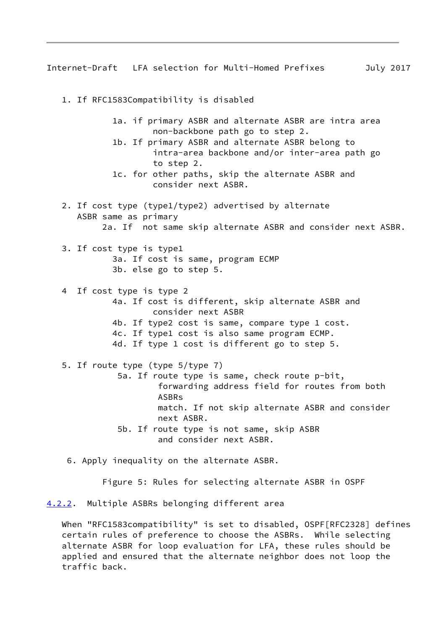<span id="page-9-1"></span>Internet-Draft LFA selection for Multi-Homed Prefixes July 2017

 1. If RFC1583Compatibility is disabled 1a. if primary ASBR and alternate ASBR are intra area non-backbone path go to step 2. 1b. If primary ASBR and alternate ASBR belong to intra-area backbone and/or inter-area path go to step 2. 1c. for other paths, skip the alternate ASBR and consider next ASBR. 2. If cost type (type1/type2) advertised by alternate ASBR same as primary 2a. If not same skip alternate ASBR and consider next ASBR. 3. If cost type is type1 3a. If cost is same, program ECMP 3b. else go to step 5. 4 If cost type is type 2 4a. If cost is different, skip alternate ASBR and consider next ASBR 4b. If type2 cost is same, compare type 1 cost. 4c. If type1 cost is also same program ECMP. 4d. If type 1 cost is different go to step 5. 5. If route type (type 5/type 7) 5a. If route type is same, check route p-bit, forwarding address field for routes from both ASBRs match. If not skip alternate ASBR and consider next ASBR. 5b. If route type is not same, skip ASBR and consider next ASBR.

6. Apply inequality on the alternate ASBR.

Figure 5: Rules for selecting alternate ASBR in OSPF

<span id="page-9-0"></span>[4.2.2](#page-9-0). Multiple ASBRs belonging different area

 When "RFC1583compatibility" is set to disabled, OSPF[RFC2328] defines certain rules of preference to choose the ASBRs. While selecting alternate ASBR for loop evaluation for LFA, these rules should be applied and ensured that the alternate neighbor does not loop the traffic back.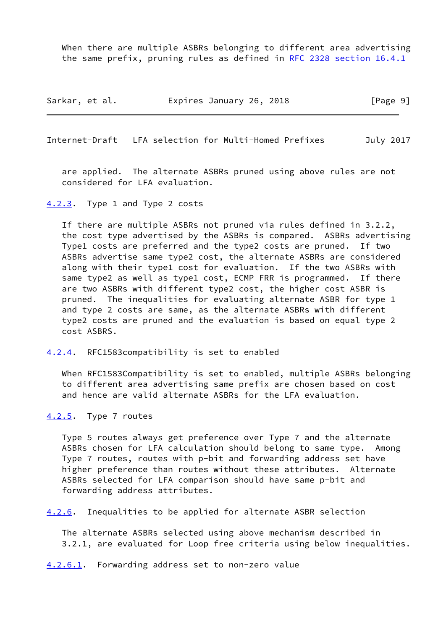When there are multiple ASBRs belonging to different area advertising the same prefix, pruning rules as defined in [RFC 2328 section](https://datatracker.ietf.org/doc/pdf/rfc2328#section-16.4.1) 16.4.1

| Sarkar, et al. | Expires January 26, 2018 | [Page 9] |
|----------------|--------------------------|----------|
|----------------|--------------------------|----------|

<span id="page-10-1"></span>Internet-Draft LFA selection for Multi-Homed Prefixes July 2017

 are applied. The alternate ASBRs pruned using above rules are not considered for LFA evaluation.

<span id="page-10-0"></span>[4.2.3](#page-10-0). Type 1 and Type 2 costs

 If there are multiple ASBRs not pruned via rules defined in 3.2.2, the cost type advertised by the ASBRs is compared. ASBRs advertising Type1 costs are preferred and the type2 costs are pruned. If two ASBRs advertise same type2 cost, the alternate ASBRs are considered along with their type1 cost for evaluation. If the two ASBRs with same type2 as well as type1 cost, ECMP FRR is programmed. If there are two ASBRs with different type2 cost, the higher cost ASBR is pruned. The inequalities for evaluating alternate ASBR for type 1 and type 2 costs are same, as the alternate ASBRs with different type2 costs are pruned and the evaluation is based on equal type 2 cost ASBRS.

<span id="page-10-2"></span>[4.2.4](#page-10-2). RFC1583compatibility is set to enabled

 When RFC1583Compatibility is set to enabled, multiple ASBRs belonging to different area advertising same prefix are chosen based on cost and hence are valid alternate ASBRs for the LFA evaluation.

<span id="page-10-3"></span>[4.2.5](#page-10-3). Type 7 routes

 Type 5 routes always get preference over Type 7 and the alternate ASBRs chosen for LFA calculation should belong to same type. Among Type 7 routes, routes with p-bit and forwarding address set have higher preference than routes without these attributes. Alternate ASBRs selected for LFA comparison should have same p-bit and forwarding address attributes.

<span id="page-10-5"></span>[4.2.6](#page-10-5). Inequalities to be applied for alternate ASBR selection

 The alternate ASBRs selected using above mechanism described in 3.2.1, are evaluated for Loop free criteria using below inequalities.

<span id="page-10-4"></span>[4.2.6.1](#page-10-4). Forwarding address set to non-zero value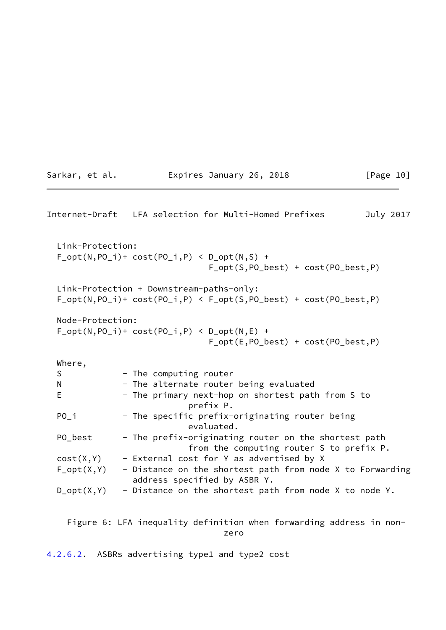<span id="page-11-1"></span>

|                  | Internet-Draft LFA selection for Multi-Homed Prefixes<br>July 2017                                                            |
|------------------|-------------------------------------------------------------------------------------------------------------------------------|
| Link-Protection: | $F_{opt(N, PO_i)+cost(PO_i, P)$ < $D_{opt(N, S) +}$<br>$F_{opt}(S, PO_{best}) + cost(PO_{best}, P)$                           |
|                  | Link-Protection + Downstream-paths-only:<br>$F_{opt}(N, PO_i)$ + $cost(PO_i, P)$ < $F_{opt}(S, PO_best)$ + $cost(PO_best, P)$ |
| Node-Protection: | $F_{opt}(N, PO_i)$ + cost( $PO_i, P$ ) < $D_{opt}(N, E)$ +<br>$F_{opt}(E, PO_{best}) + cost(PO_{best}, P)$                    |
| Where,           |                                                                                                                               |
| S                | - The computing router                                                                                                        |
| N                | - The alternate router being evaluated                                                                                        |
| E                | - The primary next-hop on shortest path from S to<br>prefix P.                                                                |
| PO i             | - The specific prefix-originating router being<br>evaluated.                                                                  |
| PO_best          | - The prefix-originating router on the shortest path<br>from the computing router S to prefix P.                              |
| cost(X, Y)       | - External cost for Y as advertised by X                                                                                      |
| $F_{opt}(X,Y)$   | - Distance on the shortest path from node X to Forwarding<br>address specified by ASBR Y.                                     |
| $D_{opt}(X, Y)$  | - Distance on the shortest path from node X to node Y.                                                                        |
|                  |                                                                                                                               |

Sarkar, et al. **Expires January 26, 2018** [Page 10]

 Figure 6: LFA inequality definition when forwarding address in non zero de la contrata de la contrata de la contrata de la contrata de la contrata de la contrata de la contrata d<br>En la contrata de la contrata de la contrata de la contrata de la contrata de la contrata de la contrata de la

<span id="page-11-0"></span>[4.2.6.2](#page-11-0). ASBRs advertising type1 and type2 cost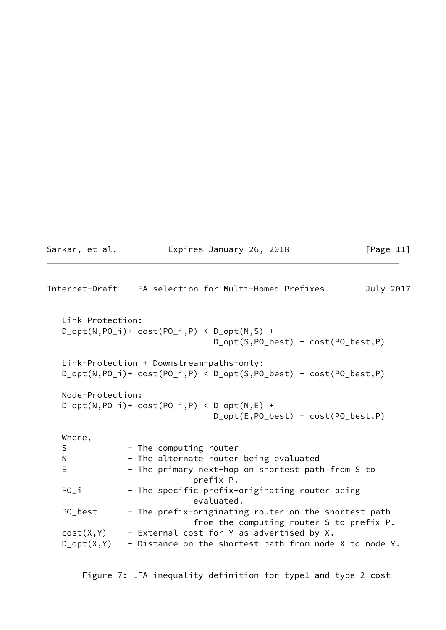Sarkar, et al. **Expires January 26, 2018** [Page 11]

<span id="page-12-0"></span>Internet-Draft LFA selection for Multi-Homed Prefixes July 2017 Link-Protection:  $D_{opt}(N, PO_i)$  +  $cost(PO_i, P)$  <  $D_{opt}(N, S)$  + D\_opt(S,PO\_best) + cost(PO\_best,P) Link-Protection + Downstream-paths-only: D\_opt(N,PO\_i)+ cost(PO\_i,P) < D\_opt(S,PO\_best) + cost(PO\_best,P) Node-Protection:  $D_{opt}(N, PO_i)$  + cost( $PO_i, P$ ) <  $D_{opt}(N, E)$  + D\_opt(E,PO\_best) + cost(PO\_best,P) Where, S - The computing router N - The alternate router being evaluated E - The primary next-hop on shortest path from S to prefix P. PO\_i - The specific prefix-originating router being evaluated. PO\_best - The prefix-originating router on the shortest path from the computing router S to prefix P.  $cost(X,Y)$  - External cost for Y as advertised by X.  $D_{opt}(X,Y)$  - Distance on the shortest path from node X to node Y.

Figure 7: LFA inequality definition for type1 and type 2 cost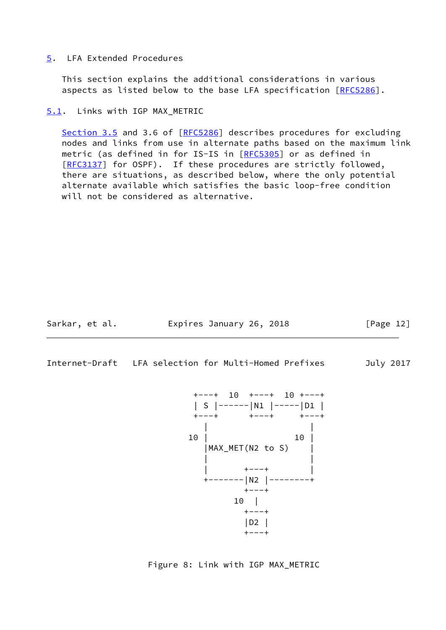#### <span id="page-13-0"></span>[5](#page-13-0). LFA Extended Procedures

 This section explains the additional considerations in various aspects as listed below to the base LFA specification [[RFC5286](https://datatracker.ietf.org/doc/pdf/rfc5286)].

## <span id="page-13-1"></span>[5.1](#page-13-1). Links with IGP MAX\_METRIC

Section 3.5 and 3.6 of [\[RFC5286](https://datatracker.ietf.org/doc/pdf/rfc5286)] describes procedures for excluding nodes and links from use in alternate paths based on the maximum link metric (as defined in for IS-IS in [[RFC5305\]](https://datatracker.ietf.org/doc/pdf/rfc5305) or as defined in [\[RFC3137](https://datatracker.ietf.org/doc/pdf/rfc3137)] for OSPF). If these procedures are strictly followed, there are situations, as described below, where the only potential alternate available which satisfies the basic loop-free condition will not be considered as alternative.

Sarkar, et al. Expires January 26, 2018 [Page 12]

<span id="page-13-2"></span>Internet-Draft LFA selection for Multi-Homed Prefixes July 2017



Figure 8: Link with IGP MAX\_METRIC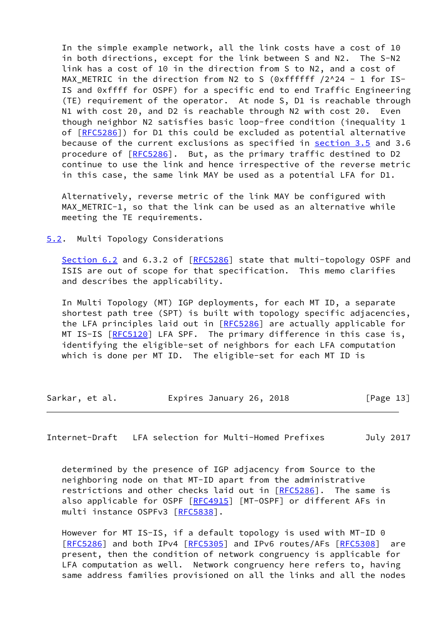In the simple example network, all the link costs have a cost of 10 in both directions, except for the link between S and N2. The S-N2 link has a cost of 10 in the direction from S to N2, and a cost of MAX\_METRIC in the direction from N2 to S (0xffffff /2^24 - 1 for IS- IS and 0xffff for OSPF) for a specific end to end Traffic Engineering (TE) requirement of the operator. At node S, D1 is reachable through N1 with cost 20, and D2 is reachable through N2 with cost 20. Even though neighbor N2 satisfies basic loop-free condition (inequality 1 of [[RFC5286\]](https://datatracker.ietf.org/doc/pdf/rfc5286)) for D1 this could be excluded as potential alternative because of the current exclusions as specified in section 3.5 and 3.6 procedure of [\[RFC5286](https://datatracker.ietf.org/doc/pdf/rfc5286)]. But, as the primary traffic destined to D2 continue to use the link and hence irrespective of the reverse metric in this case, the same link MAY be used as a potential LFA for D1.

 Alternatively, reverse metric of the link MAY be configured with MAX\_METRIC-1, so that the link can be used as an alternative while meeting the TE requirements.

<span id="page-14-0"></span>[5.2](#page-14-0). Multi Topology Considerations

Section 6.2 and 6.3.2 of [\[RFC5286](https://datatracker.ietf.org/doc/pdf/rfc5286)] state that multi-topology OSPF and ISIS are out of scope for that specification. This memo clarifies and describes the applicability.

 In Multi Topology (MT) IGP deployments, for each MT ID, a separate shortest path tree (SPT) is built with topology specific adjacencies, the LFA principles laid out in [\[RFC5286](https://datatracker.ietf.org/doc/pdf/rfc5286)] are actually applicable for MT IS-IS [\[RFC5120](https://datatracker.ietf.org/doc/pdf/rfc5120)] LFA SPF. The primary difference in this case is, identifying the eligible-set of neighbors for each LFA computation which is done per MT ID. The eligible-set for each MT ID is

Sarkar, et al. **Expires January 26, 2018** [Page 13]

<span id="page-14-1"></span>Internet-Draft LFA selection for Multi-Homed Prefixes July 2017

 determined by the presence of IGP adjacency from Source to the neighboring node on that MT-ID apart from the administrative restrictions and other checks laid out in [[RFC5286](https://datatracker.ietf.org/doc/pdf/rfc5286)]. The same is also applicable for OSPF [\[RFC4915](https://datatracker.ietf.org/doc/pdf/rfc4915)] [MT-OSPF] or different AFs in multi instance OSPFv3 [[RFC5838](https://datatracker.ietf.org/doc/pdf/rfc5838)].

However for MT IS-IS, if a default topology is used with MT-ID 0 [\[RFC5286](https://datatracker.ietf.org/doc/pdf/rfc5286)] and both IPv4 [\[RFC5305](https://datatracker.ietf.org/doc/pdf/rfc5305)] and IPv6 routes/AFs [[RFC5308](https://datatracker.ietf.org/doc/pdf/rfc5308)] are present, then the condition of network congruency is applicable for LFA computation as well. Network congruency here refers to, having same address families provisioned on all the links and all the nodes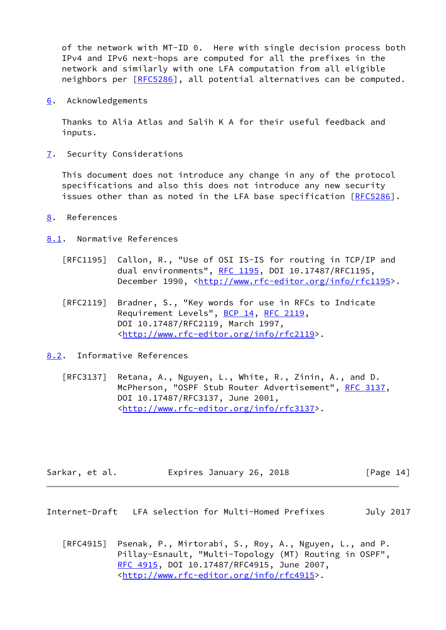of the network with MT-ID 0. Here with single decision process both IPv4 and IPv6 next-hops are computed for all the prefixes in the network and similarly with one LFA computation from all eligible neighbors per [[RFC5286](https://datatracker.ietf.org/doc/pdf/rfc5286)], all potential alternatives can be computed.

<span id="page-15-0"></span>[6](#page-15-0). Acknowledgements

 Thanks to Alia Atlas and Salih K A for their useful feedback and inputs.

<span id="page-15-1"></span>[7](#page-15-1). Security Considerations

 This document does not introduce any change in any of the protocol specifications and also this does not introduce any new security issues other than as noted in the LFA base specification [\[RFC5286](https://datatracker.ietf.org/doc/pdf/rfc5286)].

<span id="page-15-2"></span>[8](#page-15-2). References

<span id="page-15-3"></span>[8.1](#page-15-3). Normative References

- [RFC1195] Callon, R., "Use of OSI IS-IS for routing in TCP/IP and dual environments", [RFC 1195,](https://datatracker.ietf.org/doc/pdf/rfc1195) DOI 10.17487/RFC1195, December 1990, <<http://www.rfc-editor.org/info/rfc1195>>.
- [RFC2119] Bradner, S., "Key words for use in RFCs to Indicate Requirement Levels", [BCP 14](https://datatracker.ietf.org/doc/pdf/bcp14), [RFC 2119](https://datatracker.ietf.org/doc/pdf/rfc2119), DOI 10.17487/RFC2119, March 1997, <<http://www.rfc-editor.org/info/rfc2119>>.
- <span id="page-15-4"></span>[8.2](#page-15-4). Informative References
	- [RFC3137] Retana, A., Nguyen, L., White, R., Zinin, A., and D. McPherson, "OSPF Stub Router Advertisement", [RFC 3137](https://datatracker.ietf.org/doc/pdf/rfc3137), DOI 10.17487/RFC3137, June 2001, <<http://www.rfc-editor.org/info/rfc3137>>.

| Sarkar, et al. | Expires January 26, 2018 | [Page 14] |  |
|----------------|--------------------------|-----------|--|
|----------------|--------------------------|-----------|--|

<span id="page-15-5"></span>Internet-Draft LFA selection for Multi-Homed Prefixes July 2017

 [RFC4915] Psenak, P., Mirtorabi, S., Roy, A., Nguyen, L., and P. Pillay-Esnault, "Multi-Topology (MT) Routing in OSPF", [RFC 4915,](https://datatracker.ietf.org/doc/pdf/rfc4915) DOI 10.17487/RFC4915, June 2007, <<http://www.rfc-editor.org/info/rfc4915>>.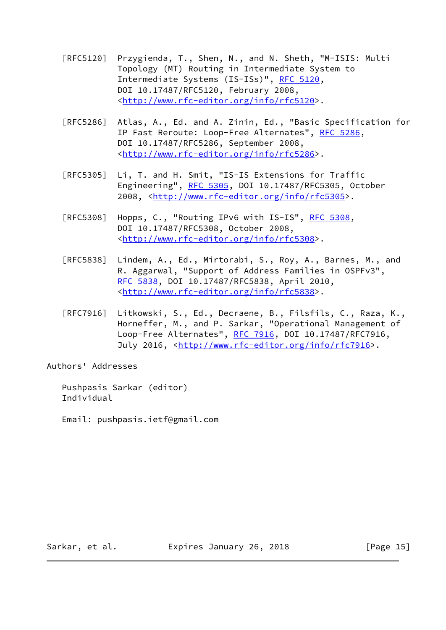- [RFC5120] Przygienda, T., Shen, N., and N. Sheth, "M-ISIS: Multi Topology (MT) Routing in Intermediate System to Intermediate Systems (IS-ISs)", [RFC 5120,](https://datatracker.ietf.org/doc/pdf/rfc5120) DOI 10.17487/RFC5120, February 2008, <<http://www.rfc-editor.org/info/rfc5120>>.
- [RFC5286] Atlas, A., Ed. and A. Zinin, Ed., "Basic Specification for IP Fast Reroute: Loop-Free Alternates", [RFC 5286,](https://datatracker.ietf.org/doc/pdf/rfc5286) DOI 10.17487/RFC5286, September 2008, <<http://www.rfc-editor.org/info/rfc5286>>.
- [RFC5305] Li, T. and H. Smit, "IS-IS Extensions for Traffic Engineering", [RFC 5305](https://datatracker.ietf.org/doc/pdf/rfc5305), DOI 10.17487/RFC5305, October 2008, [<http://www.rfc-editor.org/info/rfc5305](http://www.rfc-editor.org/info/rfc5305)>.
- [RFC5308] Hopps, C., "Routing IPv6 with IS-IS", [RFC 5308](https://datatracker.ietf.org/doc/pdf/rfc5308), DOI 10.17487/RFC5308, October 2008, <<http://www.rfc-editor.org/info/rfc5308>>.
- [RFC5838] Lindem, A., Ed., Mirtorabi, S., Roy, A., Barnes, M., and R. Aggarwal, "Support of Address Families in OSPFv3", [RFC 5838,](https://datatracker.ietf.org/doc/pdf/rfc5838) DOI 10.17487/RFC5838, April 2010, <<http://www.rfc-editor.org/info/rfc5838>>.
- [RFC7916] Litkowski, S., Ed., Decraene, B., Filsfils, C., Raza, K., Horneffer, M., and P. Sarkar, "Operational Management of Loop-Free Alternates", [RFC 7916](https://datatracker.ietf.org/doc/pdf/rfc7916), DOI 10.17487/RFC7916, July 2016, <<http://www.rfc-editor.org/info/rfc7916>>.

Authors' Addresses

 Pushpasis Sarkar (editor) Individual

Email: pushpasis.ietf@gmail.com

Sarkar, et al. **Expires January 26, 2018** [Page 15]